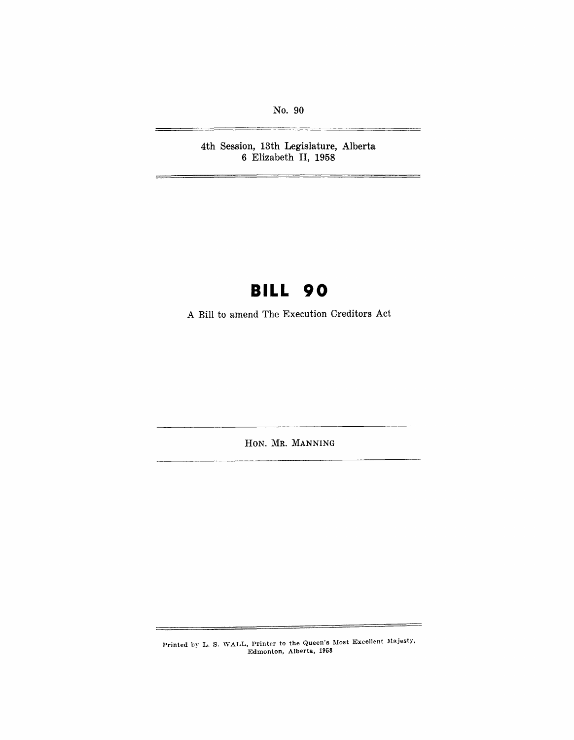No. 90

4th Session, 13th Legislature, Alberta 6 Elizabeth II, 1958

## **BILL 90**

A Bill to amend The Execution Creditors Act

HON. MR. MANNING

Printed by L. S. WALL, Printer to the Queen's Most Excellent Majesty, Edmonton, Alberta, 1958

5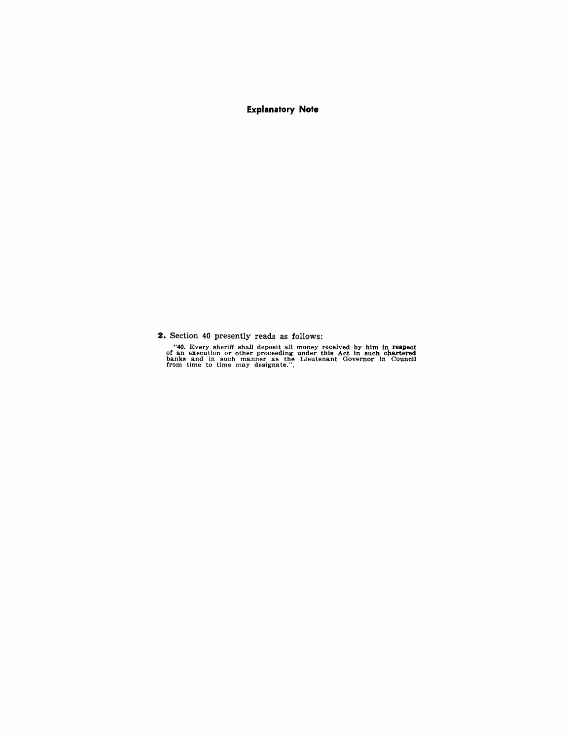**Explanatory Note** 

**2.** Section 40 presently reads as follows:

"40. Every sheriff shall deposit all money received by him in respect an execution or other proceeding under this Act in such chartered banks and in such manner as the Lieutenant Governor in Council from time to time may d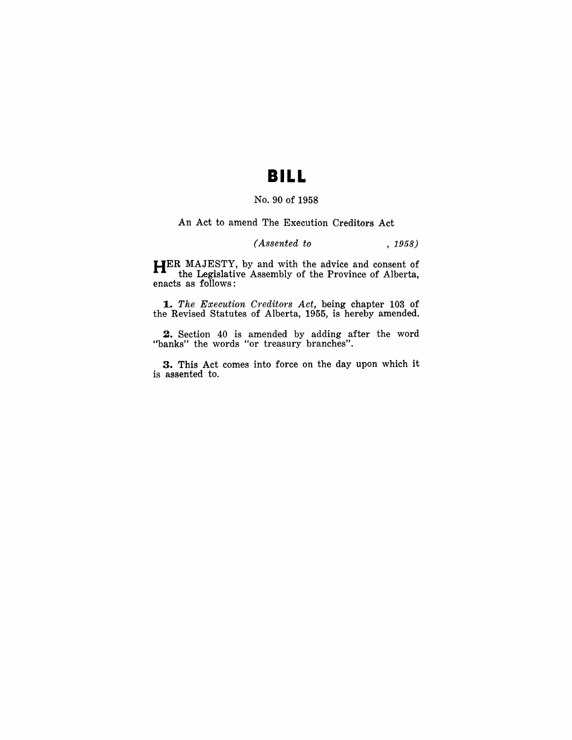## **BILL**

### No. 90 of 1958

An Act to amend The Execution Creditors Act

### *(Assented to* , 1958)

**HER** MAJESTY, by and with the advice and consent of the Legislative Assembly of the Province of Alberta, enacts as follows:

*1 .. The Execution Creditors Act,* being chapter 103 of the Revised Statutes of Alberta, 1955, is hereby amended.

2. Section 40 is amended by adding after the word "banks" the words "or treasury branches".

3. This Act comes into force on the day upon which it is assented to.